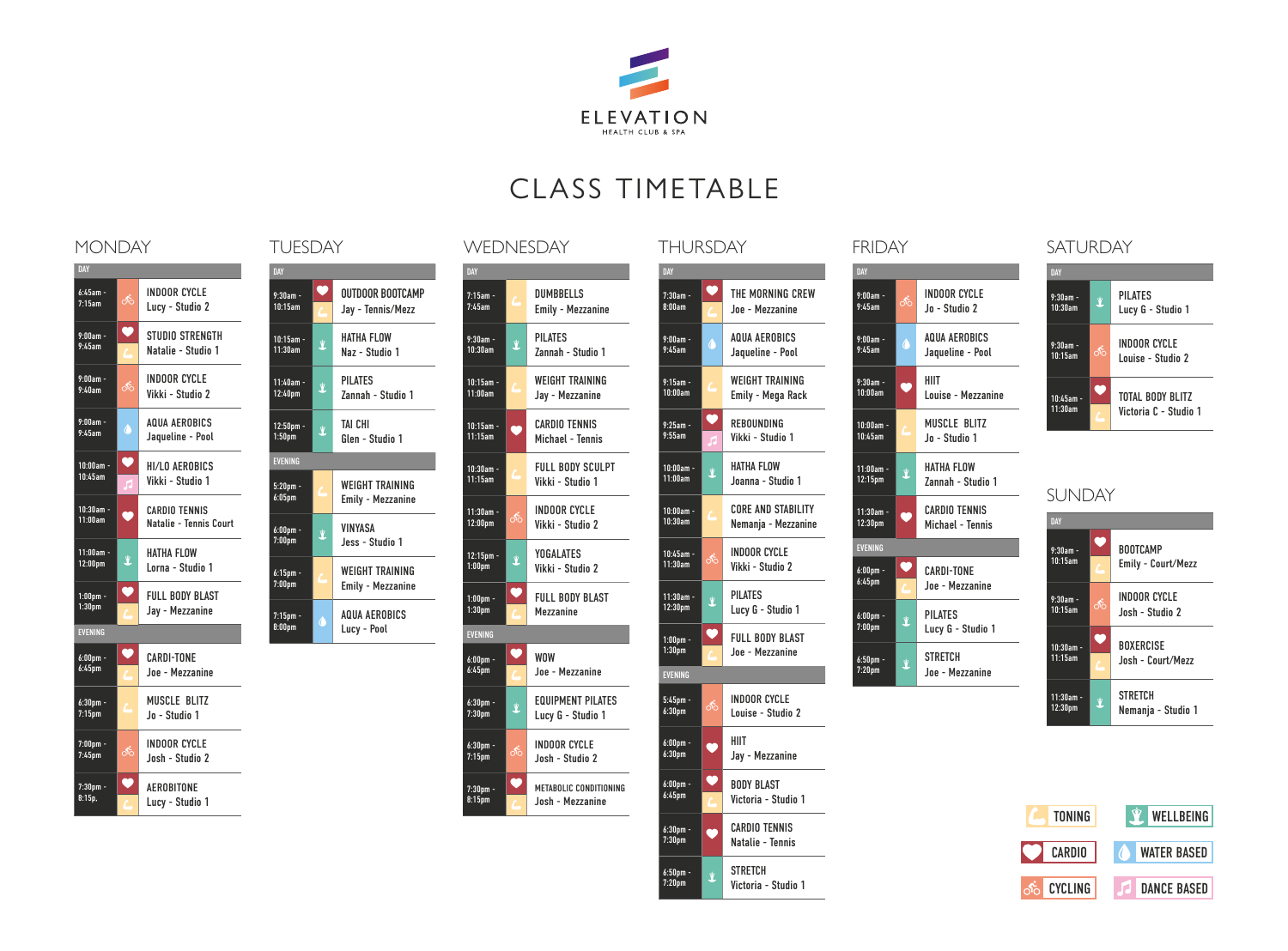

# CLASS TIMETABLE

| DAY                                |                  |                                                |  |  |
|------------------------------------|------------------|------------------------------------------------|--|--|
| $6:45am -$<br>7:15am               | శ్               | <b>INDOOR CYCLE</b><br>Lucy - Studio 2         |  |  |
| $9:00am -$<br>9:45am               | O                | STUDIO STRENGTH<br>Natalie - Studio 1          |  |  |
| $9:00am -$<br>9:40am               | ക്               | <b>INDOOR CYCLE</b><br>Vikki - Studio 2        |  |  |
| $9:00am -$<br>9:45am               | $\ddot{\bullet}$ | AOUA AFROBICS<br>Jaqueline - Pool              |  |  |
| $10:00am -$<br>$10.45$ am          | $\bullet$<br>R   | HI/LO AFROBICS<br>Vikki - Studio 1             |  |  |
| $10:30am -$<br>11:00am             | b                | <b>CARDIO TENNIS</b><br>Natalie - Tennis Court |  |  |
| $11:00am -$<br>12:00 <sub>pm</sub> | Ý                | HATHA FLOW<br>Lorna - Studio 1                 |  |  |
| $1:00$ pm -<br>1:30 <sub>pm</sub>  | $\bullet$        | <b>FULL BODY BLAST</b><br>Jay - Mezzanine      |  |  |
| <b>EVENING</b>                     |                  |                                                |  |  |
| $6:00$ pm -<br>6:45 <sub>pm</sub>  | V                | <b>CARDI-TONF</b><br>Joe - Mezzanine           |  |  |
| $6:30pm$ -<br>7:15 <sub>pm</sub>   |                  | MUSCLE BLITZ<br>Jo - Studio 1                  |  |  |
| $7:00$ pm -<br>7:45 <sub>pm</sub>  | ക്               | <b>INDOOR CYCLE</b><br>Josh - Studio 2         |  |  |
| $7:30pm -$<br>8:15p.               |                  | AFROBITONF<br>Lucy - Studio 1                  |  |  |

| DAY                               |                          |                                                    |  |  |
|-----------------------------------|--------------------------|----------------------------------------------------|--|--|
| $9:30$ am -<br>$10:15$ am         | $\bullet$                | OUTDOOR BOOTCAMP<br>Jay - Tennis/Mezz              |  |  |
| $10:15$ am -<br>11:30am           | Ŷ                        | HATHA FLOW<br>Naz - Studio 1                       |  |  |
| 11:40am -<br>12:40 <sub>pm</sub>  | Ý                        | <b>PILATES</b><br>Zannah - Studio 1                |  |  |
| $12:50pm -$<br>1:50 <sub>pm</sub> | Ŷ                        | <b>TAI CHI</b><br>Glen - Studio 1                  |  |  |
| <b>EVENING</b>                    |                          |                                                    |  |  |
| $5:20$ pm -<br>6:05 <sub>pm</sub> |                          | <b>WEIGHT TRAINING</b><br>Emily - Mezzanine        |  |  |
| $6:00$ pm -<br>7:00 <sub>pm</sub> | Ý                        | VINYASA<br>Jess - Studio 1                         |  |  |
| $6:15$ pm -<br>7:00 <sub>pm</sub> | ſ.                       | <b>WFIGHT TRAINING</b><br><b>Emily - Mezzanine</b> |  |  |
| $7:15$ pm -<br>8:00 <sub>pm</sub> | $\overline{\mathcal{C}}$ | <b>AQUA AEROBICS</b><br>Lucy - Pool                |  |  |

## MONDAY TUESDAY WEDNESDAY THURSDAY FRIDAY SATURDAY

| DAY                                |    |                                               |  |  |
|------------------------------------|----|-----------------------------------------------|--|--|
| $7:15am -$<br>7:45am               |    | <b>DUMBBELLS</b><br><b>Emily - Mezzanine</b>  |  |  |
| $9:30am -$<br>10:30am              | Ý  | PILATES<br><b>Zannah - Studio 1</b>           |  |  |
| $10:15am -$<br>11:00am             | r. | <b>WEIGHT TRAINING</b><br>Jav - Mezzanine     |  |  |
| $10:15$ am -<br>11:15am            |    | <b>CARDIO TENNIS</b><br>Michael - Tennis      |  |  |
| $10:30am -$<br>11:15am             |    | FULL BODY SCULPT<br>Vikki - Studio 1          |  |  |
| $11:30am -$<br>12:00 <sub>pm</sub> | ஃ  | INDOOR CYCLE<br>Vikki - Studio 2              |  |  |
| $12:15$ pm -<br>1:00 <sub>pm</sub> | Ý  | <b>YOGALATES</b><br>Vikki - Studio 2          |  |  |
| $1:00$ pm -<br>1:30 <sub>pm</sub>  | V  | FULL BODY BLAST<br>Mezzanine                  |  |  |
| <b>EVENING</b>                     |    |                                               |  |  |
| $6:00$ pm -<br>6:45 <sub>pm</sub>  | V  | <b>WOW</b><br>Joe - Mezzanine                 |  |  |
| $6:30$ pm -<br>7:30 <sub>pm</sub>  | Ŷ  | <b>FOUIPMENT PILATES</b><br>Lucy G - Studio 1 |  |  |
| $6:30pm -$<br>7:15 <sub>pm</sub>   | ക് | <b>INDOOR CYCLE</b><br>Josh - Studio 2        |  |  |
| $7:30pm -$<br>8:15 <sub>pm</sub>   |    | METABOLIC CONDITIONING<br>Josh - Mezzanine    |  |  |

## DAY 7:30am - 8:00am **V** THE MORNING CREW Joe - Mezzanine  $9:00$ am<br>9:45am 9:00am - **AQUA AEROBICS**<br>9:45am **de de Jaqueline - Pool** 9:15am - 9:15am - **Camp WEIGHT TRAINING**<br>10:00am - Emily - Mega Rack 9:25am - 9:55am **V** REBOUNDING Vikki - Studio 1 10:00am<br>11:00am 10:00am - **WATHA FLOW**<br>11:00am **Canna** - Studio 1 10:00am<br>10:30am 10:00am - CORE AND STABILITY<br>10:30am - Nemanja - Mezzanine 10:45am<br>11:30am 10:45am - Stephen Band CyCLE<br>11:30am - O<sup>SS</sup> Vikki - Studio 2 11:30am - 11:30am - **PILATES**<br>12:30pm **external Lucy G** - Studio 1 1:00pm - 1:30pm **V** FULL BODY BLAST Joe - Mezzanine EVENING  $\frac{5:45 \text{pm}}{6:30 \text{pm}}$ 5:45pm - **COLOR CYCLE**<br>6:30pm **or Belling Color** Louise - Studio 2 6:00pm - **COMPLE**<br>6:30pm **y HIIT** Jay - Mezzanine 6:00pm - 6:45pm **BODY BLAST** Victoria - Studio 1 6:30pm - 6:30pm - CARDIO TENNIS<br>7:30pm - Natalie - Tennis

6:50pm - **3** STRETCH<br>7:20pm - 3 Victoria

Victoria - Studio 1

| INDAI                              |               |                                          |  |  |
|------------------------------------|---------------|------------------------------------------|--|--|
| DAY                                |               |                                          |  |  |
| $9:00am -$<br>9:45am               | ക്            | INDOOR CYCLE<br>Jo - Studio 2            |  |  |
| $9:00am -$<br>9:45am               | $\mathcal{L}$ | AQUA AFROBICS<br>Jaqueline - Pool        |  |  |
| $9:30am -$<br>10:00am              |               | HIIT<br>Louise - Mezzanine               |  |  |
| $10:00am -$<br>10:45am             |               | MUSCLE BLITZ<br>Jo - Studio 1            |  |  |
| $11:00am -$<br>12:15 <sub>pm</sub> | Ý             | HATHA FLOW<br>Zannah - Studio 1          |  |  |
| $11:30am -$<br>12:30 <sub>pm</sub> |               | <b>CARDIO TENNIS</b><br>Michael - Tennis |  |  |
| <b>EVENING</b>                     |               |                                          |  |  |
| $6:00$ pm -<br>6:45 <sub>pm</sub>  | $\bullet$     | <b>CARDI-TONE</b><br>Joe - Mezzanine     |  |  |
| $6:00$ pm -<br>7:00 <sub>pm</sub>  | Ŷ             | PII ATFS<br>Lucy G - Studio 1            |  |  |
| $6:50$ pm -<br>7:20 <sub>pm</sub>  | Ý             | <b>STRETCH</b><br>Joe - Mezzanine        |  |  |
|                                    |               |                                          |  |  |



# SUNDAY

| DAY                                |     |                                       |  |
|------------------------------------|-----|---------------------------------------|--|
| $9:30am -$<br>10:15am              |     | <b>BOOTCAMP</b><br>Emily - Court/Mezz |  |
| $9:30am -$<br>10:15am              | റ്റ | INDOOR CYCLE<br>Josh - Studio 2       |  |
| $10:30am -$<br>11:15am             |     | <b>BOXFRCISE</b><br>Josh - Court/Mezz |  |
| $11:30am -$<br>12:30 <sub>pm</sub> | Ý   | <b>STRFTCH</b><br>Nemanja - Studio 1  |  |